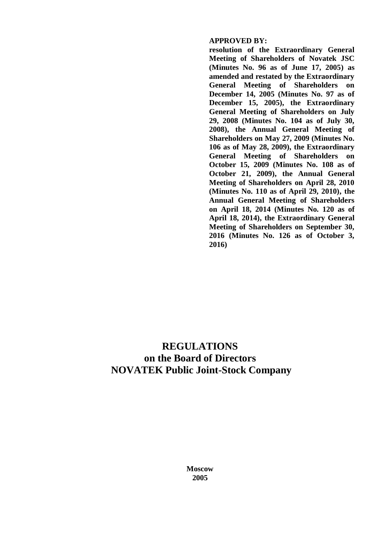## **APPROVED BY:**

**resolution of the Extraordinary General Meeting of Shareholders of Novatek JSC (Minutes No. 96 as of June 17, 2005) as amended and restated by the Extraordinary General Meeting of Shareholders on December 14, 2005 (Minutes No. 97 as of December 15, 2005), the Extraordinary General Meeting of Shareholders on July 29, 2008 (Minutes No. 104 as of July 30, 2008), the Annual General Meeting of Shareholders on May 27, 2009 (Minutes No. 106 as of May 28, 2009), the Extraordinary General Meeting of Shareholders on October 15, 2009 (Minutes No. 108 as of October 21, 2009), the Annual General Meeting of Shareholders on April 28, 2010 (Minutes No. 110 as of April 29, 2010), the Annual General Meeting of Shareholders on April 18, 2014 (Minutes No. 120 as of April 18, 2014), the Extraordinary General Meeting of Shareholders on September 30, 2016 (Minutes No. 126 as of October 3, 2016)**

# **REGULATIONS on the Board of Directors NOVATEK Public Joint-Stock Company**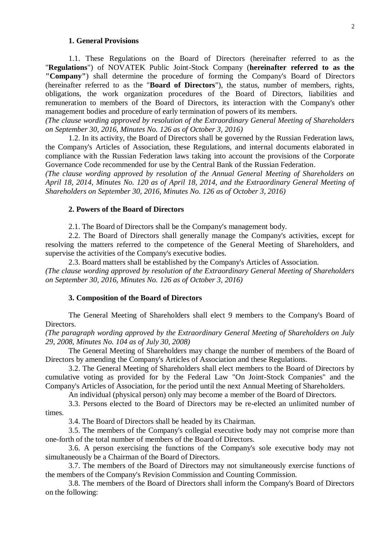#### **1. General Provisions**

1.1. These Regulations on the Board of Directors (hereinafter referred to as the "**Regulations**") of NOVATEK Public Joint-Stock Company (**hereinafter referred to as the "Company"**) shall determine the procedure of forming the Company's Board of Directors (hereinafter referred to as the "**Board of Directors**"), the status, number of members, rights, obligations, the work organization procedures of the Board of Directors, liabilities and remuneration to members of the Board of Directors, its interaction with the Company's other management bodies and procedure of early termination of powers of its members.

*(The clause wording approved by resolution of the Extraordinary General Meeting of Shareholders on September 30, 2016, Minutes No. 126 as of October 3, 2016)*

1.2. In its activity, the Board of Directors shall be governed by the Russian Federation laws, the Company's Articles of Association, these Regulations, and internal documents elaborated in compliance with the Russian Federation laws taking into account the provisions of the Corporate Governance Code recommended for use by the Central Bank of the Russian Federation.

*(The clause wording approved by resolution of the Annual General Meeting of Shareholders on April 18, 2014, Minutes No. 120 as of April 18, 2014, and the Extraordinary General Meeting of Shareholders on September 30, 2016, Minutes No. 126 as of October 3, 2016)*

## **2. Powers of the Board of Directors**

2.1. The Board of Directors shall be the Company's management body.

2.2. The Board of Directors shall generally manage the Company's activities, except for resolving the matters referred to the competence of the General Meeting of Shareholders, and supervise the activities of the Company's executive bodies.

2.3. Board matters shall be established by the Company's Articles of Association.

*(The clause wording approved by resolution of the Extraordinary General Meeting of Shareholders on September 30, 2016, Minutes No. 126 as of October 3, 2016)*

#### **3. Composition of the Board of Directors**

The General Meeting of Shareholders shall elect 9 members to the Company's Board of Directors.

*(The paragraph wording approved by the Extraordinary General Meeting of Shareholders on July 29, 2008, Minutes No. 104 as of July 30, 2008)*

The General Meeting of Shareholders may change the number of members of the Board of Directors by amending the Company's Articles of Association and these Regulations.

3.2. The General Meeting of Shareholders shall elect members to the Board of Directors by cumulative voting as provided for by the Federal Law "On Joint-Stock Companies" and the Company's Articles of Association, for the period until the next Annual Meeting of Shareholders.

An individual (physical person) only may become a member of the Board of Directors.

3.3. Persons elected to the Board of Directors may be re-elected an unlimited number of times.

3.4. The Board of Directors shall be headed by its Chairman.

3.5. The members of the Company's collegial executive body may not comprise more than one-forth of the total number of members of the Board of Directors.

3.6. A person exercising the functions of the Company's sole executive body may not simultaneously be a Chairman of the Board of Directors.

3.7. The members of the Board of Directors may not simultaneously exercise functions of the members of the Company's Revision Commission and Counting Commission.

3.8. The members of the Board of Directors shall inform the Company's Board of Directors on the following: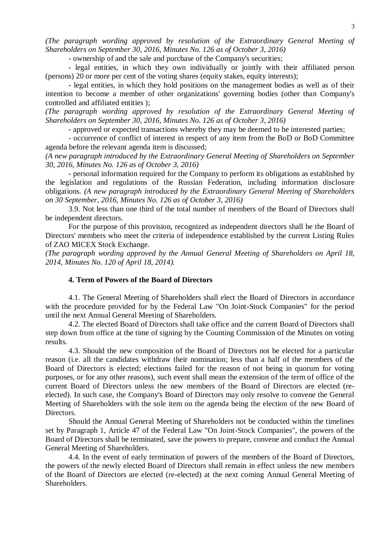*(The paragraph wording approved by resolution of the Extraordinary General Meeting of Shareholders on September 30, 2016, Minutes No. 126 as of October 3, 2016)*

- ownership of and the sale and purchase of the Company's securities;

- legal entities, in which they own individually or jointly with their affiliated person (persons) 20 or more per cent of the voting shares (equity stakes, equity interests);

- legal entities, in which they hold positions on the management bodies as well as of their intention to become a member of other organizations' governing bodies (other than Company's controlled and affiliated entities );

*(The paragraph wording approved by resolution of the Extraordinary General Meeting of Shareholders on September 30, 2016, Minutes No. 126 as of October 3, 2016)*

- approved or expected transactions whereby they may be deemed to be interested parties;

- occurrence of conflict of interest in respect of any item from the BoD or BoD Committee agenda before the relevant agenda item is discussed;

*(A new paragraph introduced by the Extraordinary General Meeting of Shareholders on September 30, 2016, Minutes No. 126 as of October 3, 2016)*

- personal information required for the Company to perform its obligations as established by the legislation and regulations of the Russian Federation, including information disclosure obligations. *(A new paragraph introduced by the Extraordinary General Meeting of Shareholders on 30 September, 2016, Minutes No. 126 as of October 3, 2016)*

3.9. Not less than one third of the total number of members of the Board of Directors shall be independent directors.

For the purpose of this provision, recognized as independent directors shall be the Board of Directors' members who meet the criteria of independence established by the current Listing Rules of ZAO MICEX Stock Exchange.

*(The paragraph wording approved by the Annual General Meeting of Shareholders on April 18, 2014, Minutes No. 120 of April 18, 2014).*

# **4. Term of Powers of the Board of Directors**

4.1. The General Meeting of Shareholders shall elect the Board of Directors in accordance with the procedure provided for by the Federal Law "On Joint-Stock Companies" for the period until the next Annual General Meeting of Shareholders.

4.2. The elected Board of Directors shall take office and the current Board of Directors shall step down from office at the time of signing by the Counting Commission of the Minutes on voting results.

4.3. Should the new composition of the Board of Directors not be elected for a particular reason (i.e. all the candidates withdraw their nomination; less than a half of the members of the Board of Directors is elected; elections failed for the reason of not being in quorum for voting purposes, or for any other reasons), such event shall mean the extension of the term of office of the current Board of Directors unless the new members of the Board of Directors are elected (reelected). In such case, the Company's Board of Directors may only resolve to convene the General Meeting of Shareholders with the sole item on the agenda being the election of the new Board of Directors.

Should the Annual General Meeting of Shareholders not be conducted within the timelines set by Paragraph 1, Article 47 of the Federal Law "On Joint-Stock Companies", the powers of the Board of Directors shall be terminated, save the powers to prepare, convene and conduct the Annual General Meeting of Shareholders.

4.4. In the event of early termination of powers of the members of the Board of Directors, the powers of the newly elected Board of Directors shall remain in effect unless the new members of the Board of Directors are elected (re-elected) at the next coming Annual General Meeting of Shareholders.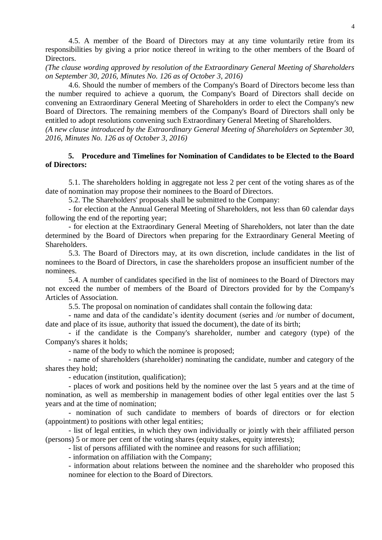4.5. A member of the Board of Directors may at any time voluntarily retire from its responsibilities by giving a prior notice thereof in writing to the other members of the Board of Directors.

*(The clause wording approved by resolution of the Extraordinary General Meeting of Shareholders on September 30, 2016, Minutes No. 126 as of October 3, 2016)*

4.6. Should the number of members of the Company's Board of Directors become less than the number required to achieve a quorum, the Company's Board of Directors shall decide on convening an Extraordinary General Meeting of Shareholders in order to elect the Company's new Board of Directors. The remaining members of the Company's Board of Directors shall only be entitled to adopt resolutions convening such Extraordinary General Meeting of Shareholders.

*(A new clause introduced by the Extraordinary General Meeting of Shareholders on September 30, 2016, Minutes No. 126 as of October 3, 2016)*

# **5. Procedure and Timelines for Nomination of Candidates to be Elected to the Board of Directors:**

5.1. The shareholders holding in aggregate not less 2 per cent of the voting shares as of the date of nomination may propose their nominees to the Board of Directors.

5.2. The Shareholders' proposals shall be submitted to the Company:

- for election at the Annual General Meeting of Shareholders, not less than 60 calendar days following the end of the reporting year;

- for election at the Extraordinary General Meeting of Shareholders, not later than the date determined by the Board of Directors when preparing for the Extraordinary General Meeting of Shareholders.

5.3. The Board of Directors may, at its own discretion, include candidates in the list of nominees to the Board of Directors, in case the shareholders propose an insufficient number of the nominees.

5.4. A number of candidates specified in the list of nominees to the Board of Directors may not exceed the number of members of the Board of Directors provided for by the Company's Articles of Association.

5.5. The proposal on nomination of candidates shall contain the following data:

- name and data of the candidate's identity document (series and /or number of document, date and place of its issue, authority that issued the document), the date of its birth;

- if the candidate is the Company's shareholder, number and category (type) of the Company's shares it holds;

- name of the body to which the nominee is proposed;

- name of shareholders (shareholder) nominating the candidate, number and category of the shares they hold;

- education (institution, qualification);

- places of work and positions held by the nominee over the last 5 years and at the time of nomination, as well as membership in management bodies of other legal entities over the last 5 years and at the time of nomination;

- nomination of such candidate to members of boards of directors or for election (appointment) to positions with other legal entities;

- list of legal entities, in which they own individually or jointly with their affiliated person (persons) 5 or more per cent of the voting shares (equity stakes, equity interests);

- list of persons affiliated with the nominee and reasons for such affiliation;

- information on affiliation with the Company;

- information about relations between the nominee and the shareholder who proposed this nominee for election to the Board of Directors.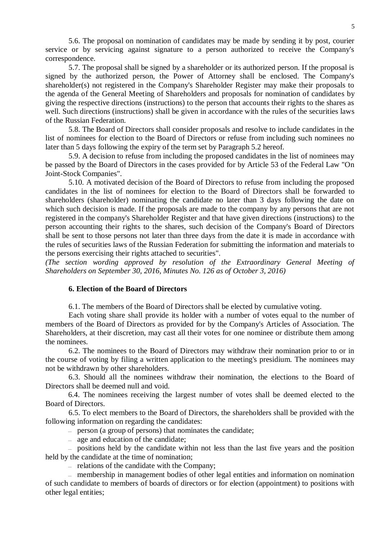5.6. The proposal on nomination of candidates may be made by sending it by post, courier service or by servicing against signature to a person authorized to receive the Company's correspondence.

5.7. The proposal shall be signed by a shareholder or its authorized person. If the proposal is signed by the authorized person, the Power of Attorney shall be enclosed. The Company's shareholder(s) not registered in the Company's Shareholder Register may make their proposals to the agenda of the General Meeting of Shareholders and proposals for nomination of candidates by giving the respective directions (instructions) to the person that accounts their rights to the shares as well. Such directions (instructions) shall be given in accordance with [the rules o](consultantplus://offline/ref=381081C09504BE52ED92344B980EE00792BF6B1D454ECB94BDE751E304AA0599D5A7DCA74D4Cl6o7I)f the securities laws of the Russian Federation.

5.8. The Board of Directors shall consider proposals and resolve to include candidates in the list of nominees for election to the Board of Directors or refuse from including such nominees no later than 5 days following the expiry of the term set by Paragraph 5.2 hereof.

5.9. A decision to refuse from including the proposed candidates in the list of nominees may be passed by the Board of Directors in the cases provided for by Article 53 of the Federal Law "On Joint-Stock Companies".

5.10. A motivated decision of the Board of Directors to refuse from including the proposed candidates in the list of nominees for election to the Board of Directors shall be forwarded to shareholders (shareholder) nominating the candidate no later than 3 days following the date on which such decision is made. If the proposals are made to the company by any persons that are not registered in the company's Shareholder Register and that have given directions (instructions) to the person accounting their rights to the shares, such decision of the Company's Board of Directors shall be sent to those persons not later than three days from the date it is made in accordance with the rules of securities [laws](consultantplus://offline/ref=577E317DA913B4DF38D30847B852E19173F1FA139E221C642DB4FECA0927122143AB18F5F6EE00i7P) of the Russian Federation for submitting the information and materials to the persons exercising their rights attached to securities".

*(The section wording approved by resolution of the Extraordinary General Meeting of Shareholders on September 30, 2016, Minutes No. 126 as of October 3, 2016)*

## **6. Election of the Board of Directors**

6.1. The members of the Board of Directors shall be elected by cumulative voting.

Each voting share shall provide its holder with a number of votes equal to the number of members of the Board of Directors as provided for by the Company's Articles of Association. The Shareholders, at their discretion, may cast all their votes for one nominee or distribute them among the nominees.

6.2. The nominees to the Board of Directors may withdraw their nomination prior to or in the course of voting by filing a written application to the meeting's presidium. The nominees may not be withdrawn by other shareholders.

6.3. Should all the nominees withdraw their nomination, the elections to the Board of Directors shall be deemed null and void.

6.4. The nominees receiving the largest number of votes shall be deemed elected to the Board of Directors.

6.5. To elect members to the Board of Directors, the shareholders shall be provided with the following information on regarding the candidates:

- person (a group of persons) that nominates the candidate;
- age and education of the candidate:

 $\overline{a}$  positions held by the candidate within not less than the last five years and the position held by the candidate at the time of nomination;

 $\mu$  relations of the candidate with the Company;

 membership in management bodies of other legal entities and information on nomination of such candidate to members of boards of directors or for election (appointment) to positions with other legal entities;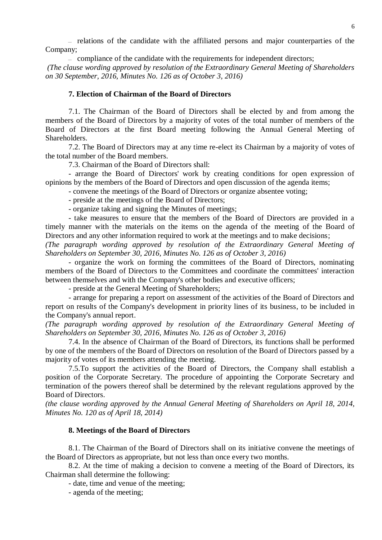$\overline{a}$  relations of the candidate with the affiliated persons and major counterparties of the Company;

 $\equiv$  compliance of the candidate with the requirements for independent directors; *(The clause wording approved by resolution of the Extraordinary General Meeting of Shareholders on 30 September, 2016, Minutes No. 126 as of October 3, 2016)*

#### **7. Election of Chairman of the Board of Directors**

7.1. The Chairman of the Board of Directors shall be elected by and from among the members of the Board of Directors by a majority of votes of the total number of members of the Board of Directors at the first Board meeting following the Annual General Meeting of Shareholders.

7.2. The Board of Directors may at any time re-elect its Chairman by a majority of votes of the total number of the Board members.

7.3. Chairman of the Board of Directors shall:

- arrange the Board of Directors' work by creating conditions for open expression of opinions by the members of the Board of Directors and open discussion of the agenda items;

- convene the meetings of the Board of Directors or organize absentee voting;

- preside at the meetings of the Board of Directors;

- organize taking and signing the Minutes of meetings;

- take measures to ensure that the members of the Board of Directors are provided in a timely manner with the materials on the items on the agenda of the meeting of the Board of Directors and any other information required to work at the meetings and to make decisions;

*(The paragraph wording approved by resolution of the Extraordinary General Meeting of Shareholders on September 30, 2016, Minutes No. 126 as of October 3, 2016)*

- organize the work on forming the committees of the Board of Directors, nominating members of the Board of Directors to the Committees and coordinate the committees' interaction between themselves and with the Company's other bodies and executive officers;

- preside at the General Meeting of Shareholders;

- arrange for preparing a report on assessment of the activities of the Board of Directors and report on results of the Company's development in priority lines of its business, to be included in the Company's annual report.

*(The paragraph wording approved by resolution of the Extraordinary General Meeting of Shareholders on September 30, 2016, Minutes No. 126 as of October 3, 2016)*

7.4. In the absence of Chairman of the Board of Directors, its functions shall be performed by one of the members of the Board of Directors on resolution of the Board of Directors passed by a majority of votes of its members attending the meeting.

7.5.To support the activities of the Board of Directors, the Company shall establish a position of the Corporate Secretary. The procedure of appointing the Corporate Secretary and termination of the powers thereof shall be determined by the relevant regulations approved by the Board of Directors.

*(the clause wording approved by the Annual General Meeting of Shareholders on April 18, 2014, Minutes No. 120 as of April 18, 2014)*

#### **8. Meetings of the Board of Directors**

8.1. The Chairman of the Board of Directors shall on its initiative convene the meetings of the Board of Directors as appropriate, but not less than once every two months.

8.2. At the time of making a decision to convene a meeting of the Board of Directors, its Chairman shall determine the following:

- date, time and venue of the meeting;

- agenda of the meeting;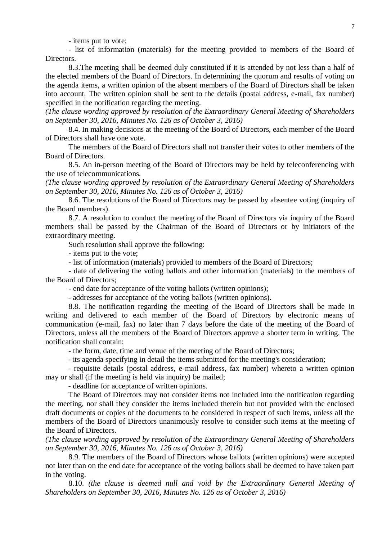- items put to vote;

- list of information (materials) for the meeting provided to members of the Board of Directors.

8.3.The meeting shall be deemed duly constituted if it is attended by not less than a half of the elected members of the Board of Directors. In determining the quorum and results of voting on the agenda items, a written opinion of the absent members of the Board of Directors shall be taken into account. The written opinion shall be sent to the details (postal address, e-mail, fax number) specified in the notification regarding the meeting.

*(The clause wording approved by resolution of the Extraordinary General Meeting of Shareholders on September 30, 2016, Minutes No. 126 as of October 3, 2016)*

8.4. In making decisions at the meeting of the Board of Directors, each member of the Board of Directors shall have one vote.

The members of the Board of Directors shall not transfer their votes to other members of the Board of Directors.

8.5. An in-person meeting of the Board of Directors may be held by teleconferencing with the use of telecommunications*.*

*(The clause wording approved by resolution of the Extraordinary General Meeting of Shareholders on September 30, 2016, Minutes No. 126 as of October 3, 2016)*

8.6. The resolutions of the Board of Directors may be passed by absentee voting (inquiry of the Board members).

8.7. A resolution to conduct the meeting of the Board of Directors via inquiry of the Board members shall be passed by the Chairman of the Board of Directors or by initiators of the extraordinary meeting.

Such resolution shall approve the following:

- items put to the vote;

- list of information (materials) provided to members of the Board of Directors;

- date of delivering the voting ballots and other information (materials) to the members of the Board of Directors;

- end date for acceptance of the voting ballots (written opinions);

- addresses for acceptance of the voting ballots (written opinions).

8.8. The notification regarding the meeting of the Board of Directors shall be made in writing and delivered to each member of the Board of Directors by electronic means of communication (e-mail, fax) no later than 7 days before the date of the meeting of the Board of Directors, unless all the members of the Board of Directors approve a shorter term in writing. The notification shall contain:

- the form, date, time and venue of the meeting of the Board of Directors;

- its agenda specifying in detail the items submitted for the meeting's consideration;

- requisite details (postal address, e-mail address, fax number) whereto a written opinion may or shall (if the meeting is held via inquiry) be mailed;

- deadline for acceptance of written opinions.

The Board of Directors may not consider items not included into the notification regarding the meeting, nor shall they consider the items included therein but not provided with the enclosed draft documents or copies of the documents to be considered in respect of such items, unless all the members of the Board of Directors unanimously resolve to consider such items at the meeting of the Board of Directors.

*(The clause wording approved by resolution of the Extraordinary General Meeting of Shareholders on September 30, 2016, Minutes No. 126 as of October 3, 2016)*

8.9. The members of the Board of Directors whose ballots (written opinions) were accepted not later than on the end date for acceptance of the voting ballots shall be deemed to have taken part in the voting.

8.10. *(the clause is deemed null and void by the Extraordinary General Meeting of Shareholders on September 30, 2016, Minutes No. 126 as of October 3, 2016)*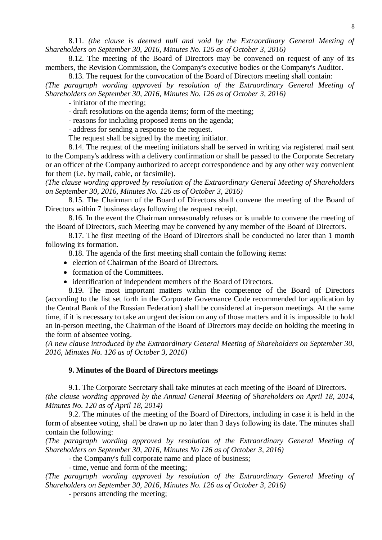8.11. *(the clause is deemed null and void by the Extraordinary General Meeting of Shareholders on September 30, 2016, Minutes No. 126 as of October 3, 2016)*

8.12. The meeting of the Board of Directors may be convened on request of any of its members, the Revision Commission, the Company's executive bodies or the Company's Auditor.

8.13. The request for the convocation of the Board of Directors meeting shall contain:

*(The paragraph wording approved by resolution of the Extraordinary General Meeting of Shareholders on September 30, 2016, Minutes No. 126 as of October 3, 2016)*

- initiator of the meeting;

- draft resolutions on the agenda items; form of the meeting;

- reasons for including proposed items on the agenda;

- address for sending a response to the request.

The request shall be signed by the meeting initiator.

8.14. The request of the meeting initiators shall be served in writing via registered mail sent to the Company's address with a delivery confirmation or shall be passed to the Corporate Secretary or an officer of the Company authorized to accept correspondence and by any other way convenient for them (i.e. by mail, cable, or facsimile).

*(The clause wording approved by resolution of the Extraordinary General Meeting of Shareholders on September 30, 2016, Minutes No. 126 as of October 3, 2016)*

8.15. The Chairman of the Board of Directors shall convene the meeting of the Board of Directors within 7 business days following the request receipt.

8.16. In the event the Chairman unreasonably refuses or is unable to convene the meeting of the Board of Directors, such Meeting may be convened by any member of the Board of Directors.

8.17. The first meeting of the Board of Directors shall be conducted no later than 1 month following its formation.

8.18. The agenda of the first meeting shall contain the following items:

- election of Chairman of the Board of Directors.
- formation of the Committees.
- identification of independent members of the Board of Directors.

8.19. The most important matters within the competence of the Board of Directors (according to the list set forth in the Corporate Governance Code recommended for application by the Central Bank of the Russian Federation) shall be considered at in-person meetings. At the same time, if it is necessary to take an urgent decision on any of those matters and it is impossible to hold an in-person meeting, the Chairman of the Board of Directors may decide on holding the meeting in the form of absentee voting.

*(A new clause introduced by the Extraordinary General Meeting of Shareholders on September 30, 2016, Minutes No. 126 as of October 3, 2016)*

#### **9. Minutes of the Board of Directors meetings**

9.1. The Corporate Secretary shall take minutes at each meeting of the Board of Directors. *(the clause wording approved by the Annual General Meeting of Shareholders on April 18, 2014, Minutes No. 120 as of April 18, 2014)*

9.2. The minutes of the meeting of the Board of Directors, including in case it is held in the form of absentee voting, shall be drawn up no later than 3 days following its date. The minutes shall contain the following:

*(The paragraph wording approved by resolution of the Extraordinary General Meeting of Shareholders on September 30, 2016, Minutes No 126 as of October 3, 2016)*

- the Company's full corporate name and place of business;

- time, venue and form of the meeting;

*(The paragraph wording approved by resolution of the Extraordinary General Meeting of Shareholders on September 30, 2016, Minutes No. 126 as of October 3, 2016)*

- persons attending the meeting;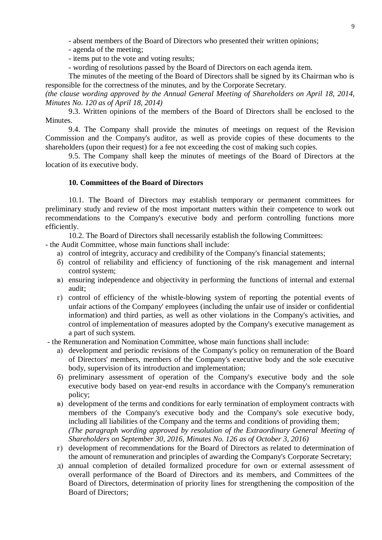- absent members of the Board of Directors who presented their written opinions;

- agenda of the meeting;
- items put to the vote and voting results;

- wording of resolutions passed by the Board of Directors on each agenda item.

The minutes of the meeting of the Board of Directors shall be signed by its Chairman who is responsible for the correctness of the minutes, and by the Corporate Secretary.

*(the clause wording approved by the Annual General Meeting of Shareholders on April 18, 2014, Minutes No. 120 as of April 18, 2014)*

9.3. Written opinions of the members of the Board of Directors shall be enclosed to the Minutes.

9.4. The Company shall provide the minutes of meetings on request of the Revision Commission and the Company's auditor, as well as provide copies of these documents to the shareholders (upon their request) for a fee not exceeding the cost of making such copies.

9.5. The Company shall keep the minutes of meetings of the Board of Directors at the location of its executive body.

## **10. Committees of the Board of Directors**

10.1. The Board of Directors may establish temporary or permanent committees for preliminary study and review of the most important matters within their competence to work out recommendations to the Company's executive body and perform controlling functions more efficiently.

10.2. The Board of Directors shall necessarily establish the following Committees:

- the Audit Committee, whose main functions shall include:
	- а) control of integrity, accuracy and credibility of the Company's financial statements;
	- б) control of reliability and efficiency of functioning of the risk management and internal control system;
	- в) ensuring independence and objectivity in performing the functions of internal and external audit;
	- г) control of efficiency of the whistle-blowing system of reporting the potential events of unfair actions of the Company' employees (including the unfair use of insider or confidential information) and third parties, as well as other violations in the Company's activities, and control of implementation of measures adopted by the Company's executive management as a part of such system.

- the Remuneration and Nomination Committee, whose main functions shall include:

- а) development and periodic revisions of the Company's policy on remuneration of the Board of Directors' members, members of the Company's executive body and the sole executive body, supervision of its introduction and implementation;
- б) preliminary assessment of operation of the Company's executive body and the sole executive body based on year-end results in accordance with the Company's remuneration policy;
- в) development of the terms and conditions for early termination of employment contracts with members of the Company's executive body and the Company's sole executive body, including all liabilities of the Company and the terms and conditions of providing them; *(The paragraph wording approved by resolution of the Extraordinary General Meeting of Shareholders on September 30, 2016, Minutes No. 126 as of October 3, 2016)*
- г) development of recommendations for the Board of Directors as related to determination of the amount of remuneration and principles of awarding the Company's Corporate Secretary;
- д) annual completion of detailed formalized procedure for own or external assessment of overall performance of the Board of Directors and its members, and Committees of the Board of Directors, determination of priority lines for strengthening the composition of the Board of Directors;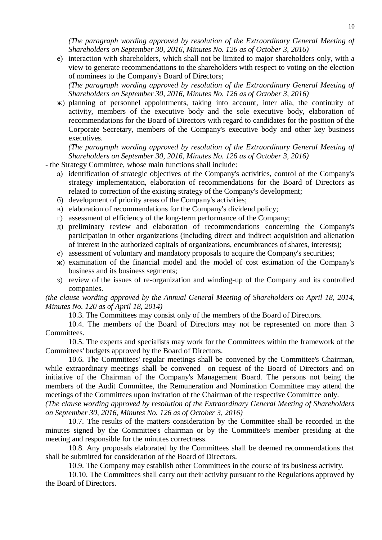*(The paragraph wording approved by resolution of the Extraordinary General Meeting of Shareholders on September 30, 2016, Minutes No. 126 as of October 3, 2016)*

е) interaction with shareholders, which shall not be limited to major shareholders only, with a view to generate recommendations to the shareholders with respect to voting on the election of nominees to the Company's Board of Directors;

*(The paragraph wording approved by resolution of the Extraordinary General Meeting of Shareholders on September 30, 2016, Minutes No. 126 as of October 3, 2016)*

ж) planning of personnel appointments, taking into account, inter alia, the continuity of activity, members of the executive body and the sole executive body, elaboration of recommendations for the Board of Directors with regard to candidates for the position of the Corporate Secretary, members of the Company's executive body and other key business executives.

*(The paragraph wording approved by resolution of the Extraordinary General Meeting of Shareholders on September 30, 2016, Minutes No. 126 as of October 3, 2016)*

- the Strategy Committee, whose main functions shall include:
	- а) identification of strategic objectives of the Company's activities, control of the Company's strategy implementation, elaboration of recommendations for the Board of Directors as related to correction of the existing strategy of the Company's development;
	- б) development of priority areas of the Company's activities;
	- в) elaboration of recommendations for the Company's dividend policy;
	- г) assessment of efficiency of the long-term performance of the Company;
	- д) preliminary review and elaboration of recommendations concerning the Company's participation in other organizations (including direct and indirect acquisition and alienation of interest in the authorized capitals of organizations, encumbrances of shares, interests);
	- е) assessment of voluntary and mandatory proposals to acquire the Company's securities;
	- ж) examination of the financial model and the model of cost estimation of the Company's business and its business segments;
	- з) review of the issues of re-organization and winding-up of the Company and its controlled companies.

## *(the clause wording approved by the Annual General Meeting of Shareholders on April 18, 2014, Minutes No. 120 as of April 18, 2014)*

10.3. The Committees may consist only of the members of the Board of Directors.

10.4. The members of the Board of Directors may not be represented on more than 3 Committees.

10.5. The experts and specialists may work for the Committees within the framework of the Committees' budgets approved by the Board of Directors.

10.6. The Committees' regular meetings shall be convened by the Committee's Chairman, while extraordinary meetings shall be convened on request of the Board of Directors and on initiative of the Chairman of the Company's Management Board. The persons not being the members of the Audit Committee, the Remuneration and Nomination Committee may attend the meetings of the Committees upon invitation of the Chairman of the respective Committee only.

*(The clause wording approved by resolution of the Extraordinary General Meeting of Shareholders on September 30, 2016, Minutes No. 126 as of October 3, 2016)*

10.7. The results of the matters consideration by the Committee shall be recorded in the minutes signed by the Committee's chairman or by the Committee's member presiding at the meeting and responsible for the minutes correctness.

10.8. Any proposals elaborated by the Committees shall be deemed recommendations that shall be submitted for consideration of the Board of Directors.

10.9. The Company may establish other Committees in the course of its business activity.

10.10. The Committees shall carry out their activity pursuant to the Regulations approved by the Board of Directors.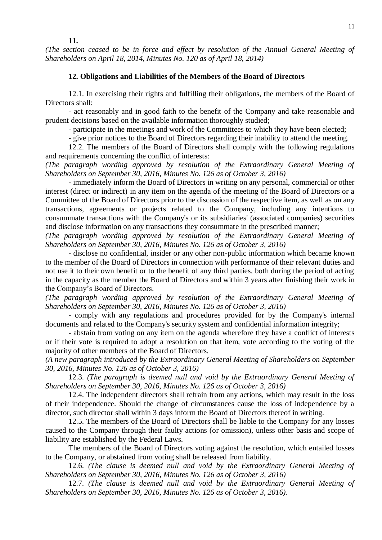**11.** 

*(The section ceased to be in force and effect by resolution of the Annual General Meeting of Shareholders on April 18, 2014, Minutes No. 120 as of April 18, 2014)*

## **12. Obligations and Liabilities of the Members of the Board of Directors**

12.1. In exercising their rights and fulfilling their obligations, the members of the Board of Directors shall:

- act reasonably and in good faith to the benefit of the Company and take reasonable and prudent decisions based on the available information thoroughly studied;

- participate in the meetings and work of the Committees to which they have been elected;

- give prior notices to the Board of Directors regarding their inability to attend the meeting.

12.2. The members of the Board of Directors shall comply with the following regulations and requirements concerning the conflict of interests:

*(The paragraph wording approved by resolution of the Extraordinary General Meeting of Shareholders on September 30, 2016, Minutes No. 126 as of October 3, 2016)*

- immediately inform the Board of Directors in writing on any personal, commercial or other interest (direct or indirect) in any item on the agenda of the meeting of the Board of Directors or a Committee of the Board of Directors prior to the discussion of the respective item, as well as on any transactions, agreements or projects related to the Company, including any intentions to consummate transactions with the Company's or its subsidiaries' (associated companies) securities and disclose information on any transactions they consummate in the prescribed manner;

*(The paragraph wording approved by resolution of the Extraordinary General Meeting of Shareholders on September 30, 2016, Minutes No. 126 as of October 3, 2016)*

- disclose no confidential, insider or any other non-public information which became known to the member of the Board of Directors in connection with performance of their relevant duties and not use it to their own benefit or to the benefit of any third parties, both during the period of acting in the capacity as the member the Board of Directors and within 3 years after finishing their work in the Company's Board of Directors.

*(The paragraph wording approved by resolution of the Extraordinary General Meeting of Shareholders on September 30, 2016, Minutes No. 126 as of October 3, 2016)*

- comply with any regulations and procedures provided for by the Company's internal documents and related to the Company's security system and confidential information integrity;

- abstain from voting on any item on the agenda wherefore they have a conflict of interests or if their vote is required to adopt a resolution on that item, vote according to the voting of the majority of other members of the Board of Directors.

*(A new paragraph introduced by the Extraordinary General Meeting of Shareholders on September 30, 2016, Minutes No. 126 as of October 3, 2016)*

12.3. *(The paragraph is deemed null and void by the Extraordinary General Meeting of Shareholders on September 30, 2016, Minutes No. 126 as of October 3, 2016)*

12.4. The independent directors shall refrain from any actions, which may result in the loss of their independence. Should the change of circumstances cause the loss of independence by a director, such director shall within 3 days inform the Board of Directors thereof in writing.

12.5. The members of the Board of Directors shall be liable to the Company for any losses caused to the Company through their faulty actions (or omission), unless other basis and scope of liability are established by the Federal Laws.

The members of the Board of Directors voting against the resolution, which entailed losses to the Company, or abstained from voting shall be released from liability.

12.6. *(The clause is deemed null and void by the Extraordinary General Meeting of Shareholders on September 30, 2016, Minutes No. 126 as of October 3, 2016)*

12.7. *(The clause is deemed null and void by the Extraordinary General Meeting of Shareholders on September 30, 2016, Minutes No. 126 as of October 3, 2016)*.